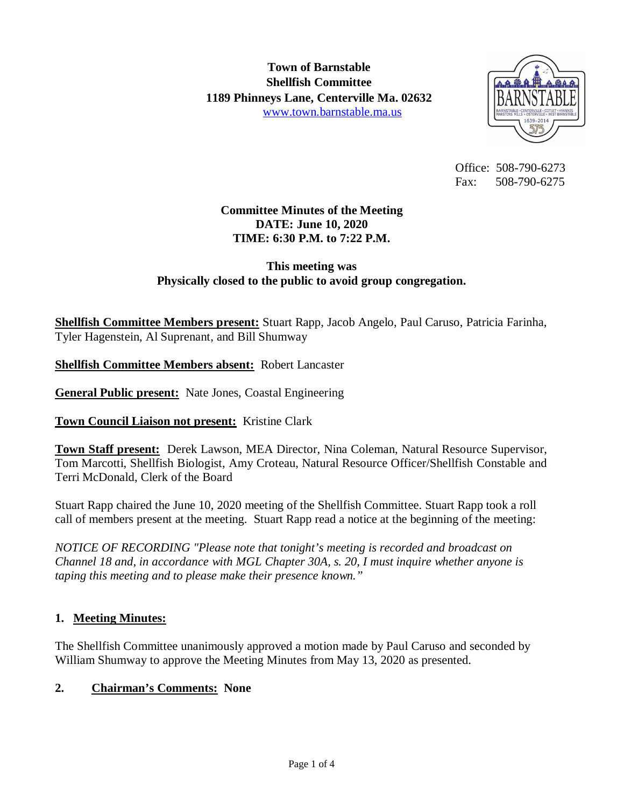

 Office: 508-790-6273 Fax: 508-790-6275

# **Committee Minutes of the Meeting DATE: June 10, 2020 TIME: 6:30 P.M. to 7:22 P.M.**

## **This meeting was Physically closed to the public to avoid group congregation.**

**Shellfish Committee Members present:** Stuart Rapp, Jacob Angelo, Paul Caruso, Patricia Farinha, Tyler Hagenstein, Al Suprenant, and Bill Shumway

**Shellfish Committee Members absent:** Robert Lancaster

**General Public present:** Nate Jones, Coastal Engineering

**Town Council Liaison not present:** Kristine Clark

**Town Staff present:** Derek Lawson, MEA Director, Nina Coleman, Natural Resource Supervisor, Tom Marcotti, Shellfish Biologist, Amy Croteau, Natural Resource Officer/Shellfish Constable and Terri McDonald, Clerk of the Board

Stuart Rapp chaired the June 10, 2020 meeting of the Shellfish Committee. Stuart Rapp took a roll call of members present at the meeting. Stuart Rapp read a notice at the beginning of the meeting:

*NOTICE OF RECORDING "Please note that tonight's meeting is recorded and broadcast on Channel 18 and, in accordance with MGL Chapter 30A, s. 20, I must inquire whether anyone is taping this meeting and to please make their presence known."*

### **1. Meeting Minutes:**

The Shellfish Committee unanimously approved a motion made by Paul Caruso and seconded by William Shumway to approve the Meeting Minutes from May 13, 2020 as presented.

# **2. Chairman's Comments: None**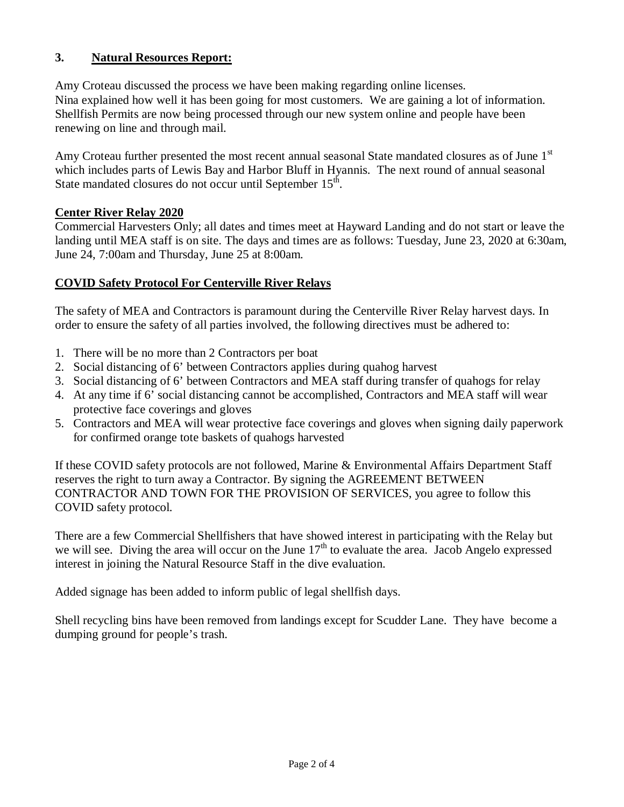## **3. Natural Resources Report:**

Amy Croteau discussed the process we have been making regarding online licenses. Nina explained how well it has been going for most customers. We are gaining a lot of information. Shellfish Permits are now being processed through our new system online and people have been renewing on line and through mail.

Amy Croteau further presented the most recent annual seasonal State mandated closures as of June 1st which includes parts of Lewis Bay and Harbor Bluff in Hyannis. The next round of annual seasonal State mandated closures do not occur until September 15<sup>th</sup>.

### **Center River Relay 2020**

Commercial Harvesters Only; all dates and times meet at Hayward Landing and do not start or leave the landing until MEA staff is on site. The days and times are as follows: Tuesday, June 23, 2020 at 6:30am, June 24, 7:00am and Thursday, June 25 at 8:00am.

### **COVID Safety Protocol For Centerville River Relays**

The safety of MEA and Contractors is paramount during the Centerville River Relay harvest days. In order to ensure the safety of all parties involved, the following directives must be adhered to:

- 1. There will be no more than 2 Contractors per boat
- 2. Social distancing of 6' between Contractors applies during quahog harvest
- 3. Social distancing of 6' between Contractors and MEA staff during transfer of quahogs for relay
- 4. At any time if 6' social distancing cannot be accomplished, Contractors and MEA staff will wear protective face coverings and gloves
- 5. Contractors and MEA will wear protective face coverings and gloves when signing daily paperwork for confirmed orange tote baskets of quahogs harvested

If these COVID safety protocols are not followed, Marine & Environmental Affairs Department Staff reserves the right to turn away a Contractor. By signing the AGREEMENT BETWEEN CONTRACTOR AND TOWN FOR THE PROVISION OF SERVICES, you agree to follow this COVID safety protocol.

There are a few Commercial Shellfishers that have showed interest in participating with the Relay but we will see. Diving the area will occur on the June  $17<sup>th</sup>$  to evaluate the area. Jacob Angelo expressed interest in joining the Natural Resource Staff in the dive evaluation.

Added signage has been added to inform public of legal shellfish days.

Shell recycling bins have been removed from landings except for Scudder Lane. They have become a dumping ground for people's trash.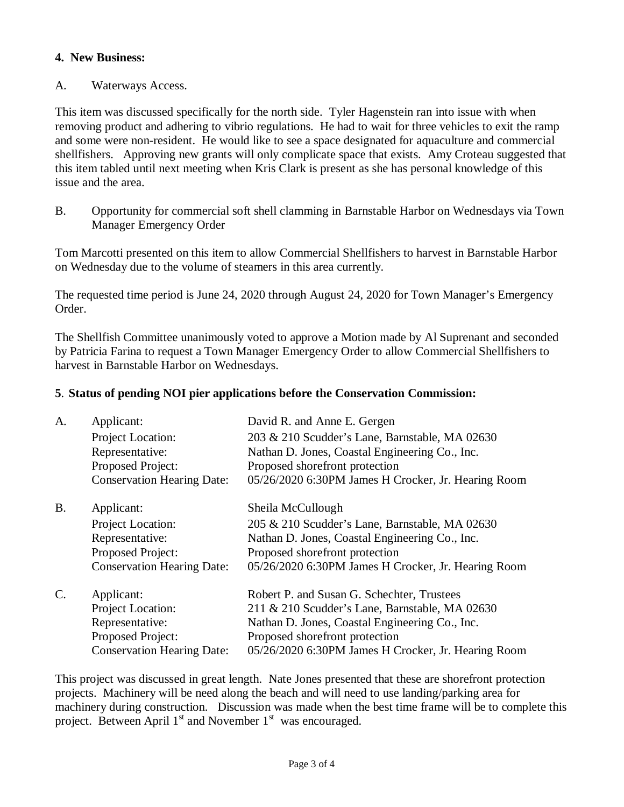## **4. New Business:**

#### A. Waterways Access.

This item was discussed specifically for the north side. Tyler Hagenstein ran into issue with when removing product and adhering to vibrio regulations. He had to wait for three vehicles to exit the ramp and some were non-resident. He would like to see a space designated for aquaculture and commercial shellfishers. Approving new grants will only complicate space that exists. Amy Croteau suggested that this item tabled until next meeting when Kris Clark is present as she has personal knowledge of this issue and the area.

B. Opportunity for commercial soft shell clamming in Barnstable Harbor on Wednesdays via Town Manager Emergency Order

Tom Marcotti presented on this item to allow Commercial Shellfishers to harvest in Barnstable Harbor on Wednesday due to the volume of steamers in this area currently.

The requested time period is June 24, 2020 through August 24, 2020 for Town Manager's Emergency Order.

The Shellfish Committee unanimously voted to approve a Motion made by Al Suprenant and seconded by Patricia Farina to request a Town Manager Emergency Order to allow Commercial Shellfishers to harvest in Barnstable Harbor on Wednesdays.

#### **5**. **Status of pending NOI pier applications before the Conservation Commission:**

| A.        | Applicant:                        | David R. and Anne E. Gergen                         |
|-----------|-----------------------------------|-----------------------------------------------------|
|           | Project Location:                 | 203 & 210 Scudder's Lane, Barnstable, MA 02630      |
|           | Representative:                   | Nathan D. Jones, Coastal Engineering Co., Inc.      |
|           | Proposed Project:                 | Proposed shorefront protection                      |
|           | <b>Conservation Hearing Date:</b> | 05/26/2020 6:30PM James H Crocker, Jr. Hearing Room |
| <b>B.</b> | Applicant:                        | Sheila McCullough                                   |
|           | Project Location:                 | 205 & 210 Scudder's Lane, Barnstable, MA 02630      |
|           | Representative:                   | Nathan D. Jones, Coastal Engineering Co., Inc.      |
|           | Proposed Project:                 | Proposed shorefront protection                      |
|           | <b>Conservation Hearing Date:</b> | 05/26/2020 6:30PM James H Crocker, Jr. Hearing Room |
| $C$ .     | Applicant:                        | Robert P. and Susan G. Schechter, Trustees          |
|           | Project Location:                 | 211 & 210 Scudder's Lane, Barnstable, MA 02630      |
|           | Representative:                   | Nathan D. Jones, Coastal Engineering Co., Inc.      |
|           | Proposed Project:                 | Proposed shorefront protection                      |
|           | <b>Conservation Hearing Date:</b> | 05/26/2020 6:30PM James H Crocker, Jr. Hearing Room |

This project was discussed in great length. Nate Jones presented that these are shorefront protection projects. Machinery will be need along the beach and will need to use landing/parking area for machinery during construction. Discussion was made when the best time frame will be to complete this project. Between April 1<sup>st</sup> and November 1<sup>st</sup> was encouraged.